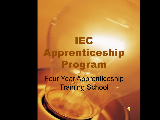# IEC Apprenticeship Program

Four Year Apprenticeship Training School

 $\blacklozenge$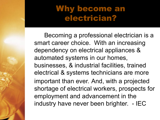#### Why become an electrician?

Becoming a professional electrician is a smart career choice. With an increasing dependency on electrical appliances & automated systems in our homes, businesses, & industrial facilities, trained electrical & systems technicians are more important than ever. And, with a projected shortage of electrical workers, prospects for employment and advancement in the industry have never been brighter. - IEC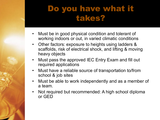#### Do you have what it takes?

- Must be in good physical condition and tolerant of working indoors or out, in varied climatic conditions
- Other factors: exposure to heights using ladders & scaffolds, risk of electrical shock, and lifting & moving heavy objects
- Must pass the approved IEC Entry Exam and fill out required applications
- Must have a reliable source of transportation to/from school & job sites
- Must be able to work independently and as a member of a team.
- Not required but recommended: A high school diploma or GED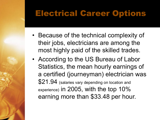#### Electrical Career Options

- Because of the technical complexity of their jobs, electricians are among the most highly paid of the skilled trades.
- According to the US Bureau of Labor Statistics, the mean hourly earnings of a certified (journeyman) electrician was \$21.94 (salaries vary depending on location and experience) in 2005, with the top 10% earning more than \$33.48 per hour.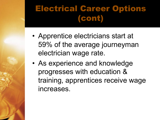## Electrical Career Options (cont)

- Apprentice electricians start at 59% of the average journeyman electrician wage rate.
- As experience and knowledge progresses with education & training, apprentices receive wage increases.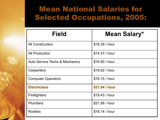#### Mean National Salaries for Selected Occupations, 2005:

| <b>Field</b>                              | Mean Salary*   |
|-------------------------------------------|----------------|
| <b>All Construction</b>                   | \$18.39 / hour |
| <b>All Production</b>                     | \$14.37 / hour |
| <b>Auto Service Techs &amp; Mechanics</b> | \$16.90 / hour |
| Carpenters                                | \$18.62 / hour |
| <b>Computer Operators</b>                 | \$16.15 / hour |
| <b>Electricians</b>                       | \$21.94 / hour |
| <b>Firefighters</b>                       | \$19.43 / hour |
| <b>Plumbers</b>                           | \$21.56 / hour |
| <b>Roofers</b>                            | \$16.14 / hour |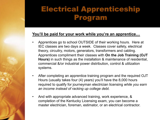#### Electrical Apprenticeship Program

#### **You'll be paid for your work while you're an apprentice…**

- Apprentices go to school OUTSIDE of their working hours. Here at IEC classes are two days a week. Classes cover safety, electrical theory, circuitry, motors, generators, transformers and cabling. Apprentices compliment their classes with **On the Job Training (OJT Hours)** in such things as the installation & maintenance of residential, commercial &/or industrial power distribution, control & utilization systems.
- After completing an apprentice training program and the required OJT Hours (usually takes four (4) years) you'll have the 8,000 hours required to qualify for journeyman electrician licensing *while you earn an income instead of racking up college debt.*
- And with appropriate advanced training, work experience, & completion of the Kentucky Licensing exam, you can become a master electrician, foreman, estimator, or an electrical contractor.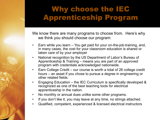#### Why choose the IEC Apprenticeship Program

We know there are many programs to choose from. Here's why we think you should choose our program:

- Earn while you learn You get paid for your on-the-job-training, and, in many cases, the cost for your classroom education is shared or taken care of by your employer
- National recognition by the US Department of Labor's Bureau of Apprenticeship & Training – means you are part of an approved program with credentials acknowledged nationwide.
- Earn College Credit our course is worth a total of 26 college credit hours – an asset if you chose to pursue a degree in engineering or other related fields.
- Engaging Education the IEC Curriculum is specifically developed & recognized as one of the best teaching tools for electrical apprenticeship in the nation.
- No monthly or annual dues unlike some other programs.
- If you don't like it, you may leave at any time, no strings attached.
- Qualified, competent, experienced & licensed electrical instructors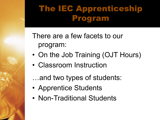#### The IEC Apprenticeship Program

There are a few facets to our program:

- On the Job Training (OJT Hours)
- Classroom Instruction
- …and two types of students:
- Apprentice Students
- Non-Traditional Students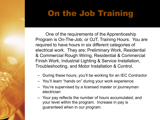#### On the Job Training

One of the requirements of the Apprenticeship Program is On-The-Job, or OJT, Training Hours. You are required to have hours in six different categories of electrical work. They are; Preliminary Work, Residential & Commercial Rough Wiring, Residential & Commercial Finish Work, Industrial Lighting & Service Installation, Troubleshooting, and Motor Installation & Control.

- During these hours, you'll be working for an IEC Contractor
- You'll learn "hands on" during your work experience
- You're supervised by a licensed master or journeyman electrician
- Your pay reflects the number of hours accumulated, and your level within the program. Increase in pay is guaranteed when in our program.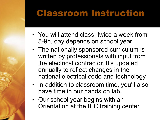## Classroom Instruction

- You will attend class, twice a week from 5-9p, day depends on school year.
- The nationally sponsored curriculum is written by professionals with input from the electrical contractor. It's updated annually to reflect changes in the national electrical code and technology.
- In addition to classroom time, you'll also have time in our hands on lab.
- Our school year begins with an Orientation at the IEC training center.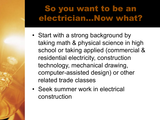#### So you want to be an electrician…Now what?

- Start with a strong background by taking math & physical science in high school or taking applied (commercial & residential electricity, construction technology, mechanical drawing, computer-assisted design) or other related trade classes
- Seek summer work in electrical construction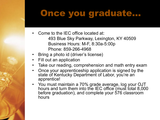#### Once you graduate…

- Come to the IEC office located at: 493 Blue Sky Parkway, Lexington, KY 40509 Business Hours: M-F, 8:30a-5:00p Phone: 859-266-4968
- Bring a photo id (driver's license)
- Fill out an application
- Take our reading, comprehension and math entry exam
- Once your apprenticeship application is signed by the state of Kentucky Department of Labor, you're an apprentice!
- You must maintain a 70% grade average, log your OJT hours and turn them into the IEC office (must total 8,000 before graduation), and complete your 576 classroom hours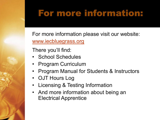# For more information

For more information please visit our website www.iecbluegrass.org

There you'll find:

- School Schedules
- Program Curriculum
- **Program Manual for Students & Instructors**
- OJT Hours Log
- Licensing & Testing Information
- And more information about being an Electrical Apprentice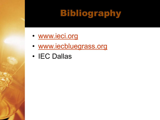# Bibliography

- www.ieci.org
- www.iecbluegrass.org
- IEC Dallas